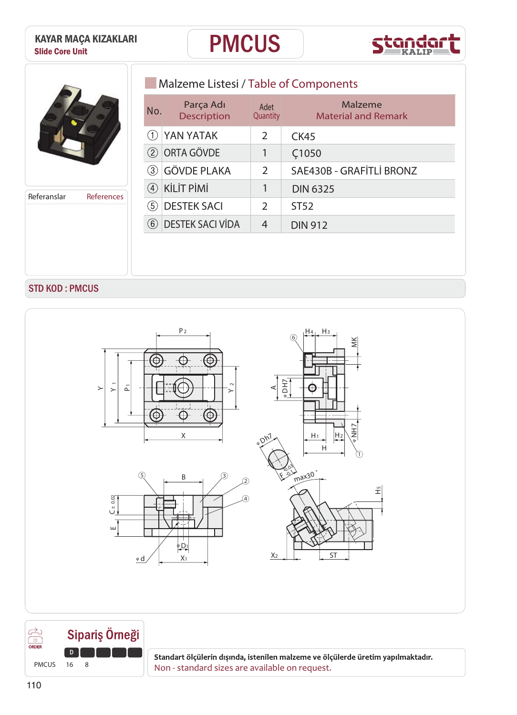



**Referanslar References**

# **Malzeme Listesi / Table of Components**

| No. | Parça Adı<br><b>Description</b> | Adet<br>Quantity | Malzeme<br><b>Material and Remark</b> |
|-----|---------------------------------|------------------|---------------------------------------|
|     | YAN YATAK                       | C                | CK45                                  |
| (2) | ORTA GÖVDE                      | 1                | C <sub>1050</sub>                     |
| (3) | <b>GÖVDE PLAKA</b>              | 2                | SAE430B - GRAFİTLİ BRONZ              |
| (4) | <b>KİLİT PİMİ</b>               |                  | <b>DIN 6325</b>                       |
| (5) | <b>DESTEK SACI</b>              | $\mathcal{P}$    | ST52                                  |
| (6) | <b>DESTEK SACI VIDA</b>         | 4                | <b>DIN 912</b>                        |

### STD KOD : PMCUS





**ENDEE Standart ölçülerin dışında, istenilen malzeme ve ölçülerde üretim yapılmaktadır.**<br>PMCUS 16 8<br>**PMCUS** 16 8<br>PMCUS 16 8